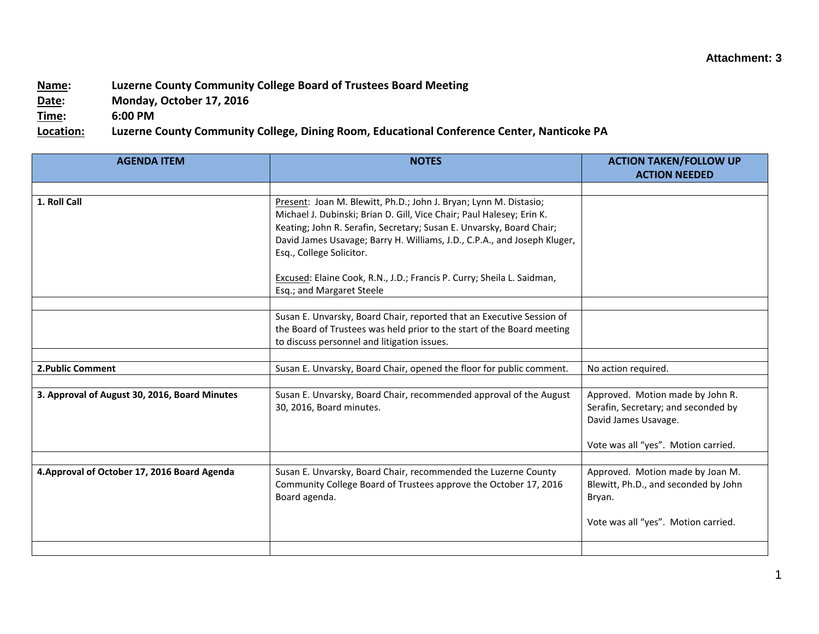## **Name: Luzerne County Community College Board of Trustees Board Meeting**

**Date: Monday, October 17, 2016**

**Time: 6:00 PM**

**Location: Luzerne County Community College, Dining Room, Educational Conference Center, Nanticoke PA**

| <b>AGENDA ITEM</b>                            | <b>NOTES</b>                                                                                                                                                                                                                                                                                                               | <b>ACTION TAKEN/FOLLOW UP</b><br><b>ACTION NEEDED</b>                                                                                  |
|-----------------------------------------------|----------------------------------------------------------------------------------------------------------------------------------------------------------------------------------------------------------------------------------------------------------------------------------------------------------------------------|----------------------------------------------------------------------------------------------------------------------------------------|
|                                               |                                                                                                                                                                                                                                                                                                                            |                                                                                                                                        |
| 1. Roll Call                                  | Present: Joan M. Blewitt, Ph.D.; John J. Bryan; Lynn M. Distasio;<br>Michael J. Dubinski; Brian D. Gill, Vice Chair; Paul Halesey; Erin K.<br>Keating; John R. Serafin, Secretary; Susan E. Unvarsky, Board Chair;<br>David James Usavage; Barry H. Williams, J.D., C.P.A., and Joseph Kluger,<br>Esq., College Solicitor. |                                                                                                                                        |
|                                               | Excused: Elaine Cook, R.N., J.D.; Francis P. Curry; Sheila L. Saidman,<br>Esq.; and Margaret Steele                                                                                                                                                                                                                        |                                                                                                                                        |
|                                               | Susan E. Unvarsky, Board Chair, reported that an Executive Session of<br>the Board of Trustees was held prior to the start of the Board meeting<br>to discuss personnel and litigation issues.                                                                                                                             |                                                                                                                                        |
| 2. Public Comment                             | Susan E. Unvarsky, Board Chair, opened the floor for public comment.                                                                                                                                                                                                                                                       | No action required.                                                                                                                    |
| 3. Approval of August 30, 2016, Board Minutes | Susan E. Unvarsky, Board Chair, recommended approval of the August<br>30, 2016, Board minutes.                                                                                                                                                                                                                             | Approved. Motion made by John R.<br>Serafin, Secretary; and seconded by<br>David James Usavage.<br>Vote was all "yes". Motion carried. |
| 4. Approval of October 17, 2016 Board Agenda  | Susan E. Unvarsky, Board Chair, recommended the Luzerne County<br>Community College Board of Trustees approve the October 17, 2016                                                                                                                                                                                         | Approved. Motion made by Joan M.<br>Blewitt, Ph.D., and seconded by John                                                               |
|                                               | Board agenda.                                                                                                                                                                                                                                                                                                              | Bryan.<br>Vote was all "yes". Motion carried.                                                                                          |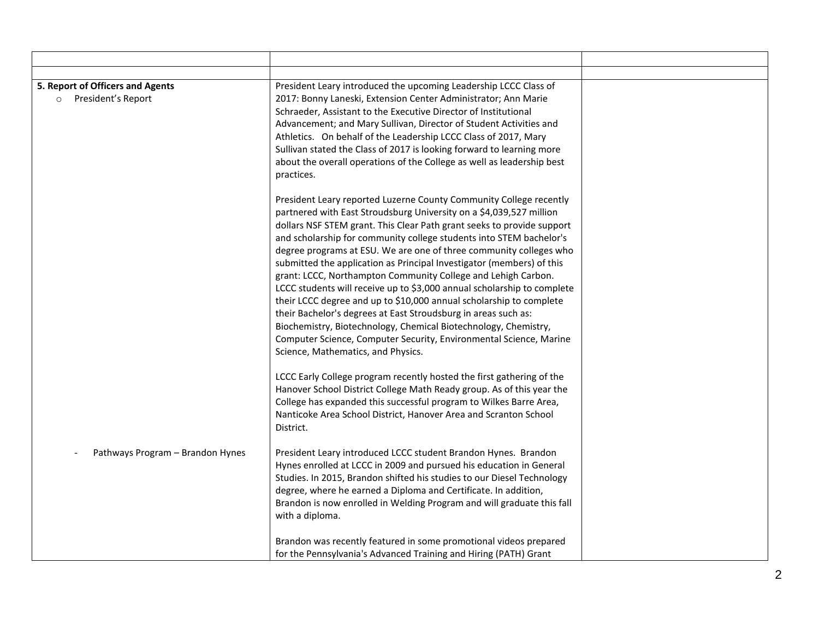| 5. Report of Officers and Agents<br>President's Report<br>$\circ$ | President Leary introduced the upcoming Leadership LCCC Class of<br>2017: Bonny Laneski, Extension Center Administrator; Ann Marie<br>Schraeder, Assistant to the Executive Director of Institutional<br>Advancement; and Mary Sullivan, Director of Student Activities and<br>Athletics. On behalf of the Leadership LCCC Class of 2017, Mary<br>Sullivan stated the Class of 2017 is looking forward to learning more<br>about the overall operations of the College as well as leadership best<br>practices.                                                                                                                                                                                                                                                                                                                                                                                               |  |
|-------------------------------------------------------------------|---------------------------------------------------------------------------------------------------------------------------------------------------------------------------------------------------------------------------------------------------------------------------------------------------------------------------------------------------------------------------------------------------------------------------------------------------------------------------------------------------------------------------------------------------------------------------------------------------------------------------------------------------------------------------------------------------------------------------------------------------------------------------------------------------------------------------------------------------------------------------------------------------------------|--|
|                                                                   | President Leary reported Luzerne County Community College recently<br>partnered with East Stroudsburg University on a \$4,039,527 million<br>dollars NSF STEM grant. This Clear Path grant seeks to provide support<br>and scholarship for community college students into STEM bachelor's<br>degree programs at ESU. We are one of three community colleges who<br>submitted the application as Principal Investigator (members) of this<br>grant: LCCC, Northampton Community College and Lehigh Carbon.<br>LCCC students will receive up to \$3,000 annual scholarship to complete<br>their LCCC degree and up to \$10,000 annual scholarship to complete<br>their Bachelor's degrees at East Stroudsburg in areas such as:<br>Biochemistry, Biotechnology, Chemical Biotechnology, Chemistry,<br>Computer Science, Computer Security, Environmental Science, Marine<br>Science, Mathematics, and Physics. |  |
|                                                                   | LCCC Early College program recently hosted the first gathering of the<br>Hanover School District College Math Ready group. As of this year the<br>College has expanded this successful program to Wilkes Barre Area,<br>Nanticoke Area School District, Hanover Area and Scranton School<br>District.                                                                                                                                                                                                                                                                                                                                                                                                                                                                                                                                                                                                         |  |
| Pathways Program - Brandon Hynes                                  | President Leary introduced LCCC student Brandon Hynes. Brandon<br>Hynes enrolled at LCCC in 2009 and pursued his education in General<br>Studies. In 2015, Brandon shifted his studies to our Diesel Technology<br>degree, where he earned a Diploma and Certificate. In addition,<br>Brandon is now enrolled in Welding Program and will graduate this fall<br>with a diploma.                                                                                                                                                                                                                                                                                                                                                                                                                                                                                                                               |  |
|                                                                   | Brandon was recently featured in some promotional videos prepared<br>for the Pennsylvania's Advanced Training and Hiring (PATH) Grant                                                                                                                                                                                                                                                                                                                                                                                                                                                                                                                                                                                                                                                                                                                                                                         |  |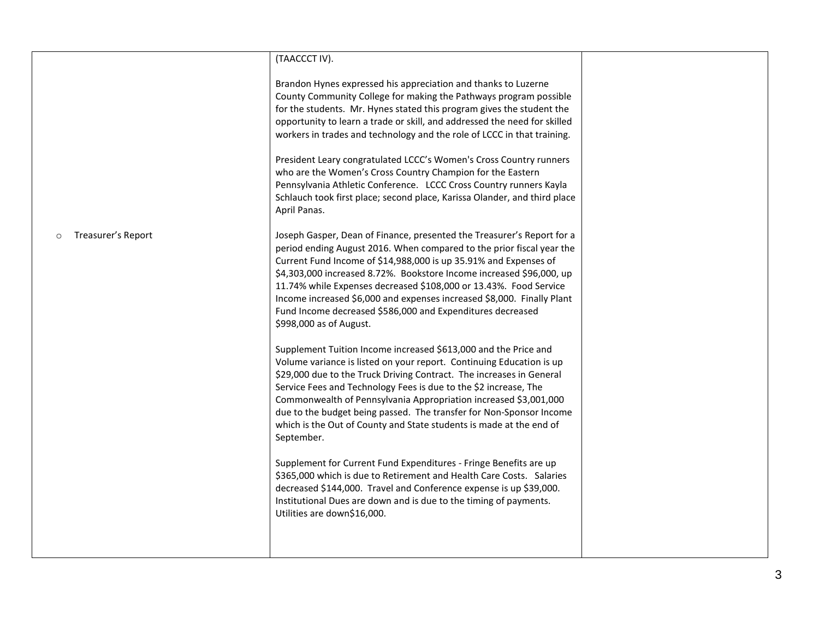|                    | (TAACCCT IV).                                                                                                                                                                                                                                                                                                                                                                                                                                                                                                                       |  |
|--------------------|-------------------------------------------------------------------------------------------------------------------------------------------------------------------------------------------------------------------------------------------------------------------------------------------------------------------------------------------------------------------------------------------------------------------------------------------------------------------------------------------------------------------------------------|--|
|                    | Brandon Hynes expressed his appreciation and thanks to Luzerne<br>County Community College for making the Pathways program possible<br>for the students. Mr. Hynes stated this program gives the student the<br>opportunity to learn a trade or skill, and addressed the need for skilled<br>workers in trades and technology and the role of LCCC in that training.                                                                                                                                                                |  |
|                    | President Leary congratulated LCCC's Women's Cross Country runners<br>who are the Women's Cross Country Champion for the Eastern<br>Pennsylvania Athletic Conference. LCCC Cross Country runners Kayla<br>Schlauch took first place; second place, Karissa Olander, and third place<br>April Panas.                                                                                                                                                                                                                                 |  |
| Treasurer's Report | Joseph Gasper, Dean of Finance, presented the Treasurer's Report for a<br>period ending August 2016. When compared to the prior fiscal year the<br>Current Fund Income of \$14,988,000 is up 35.91% and Expenses of<br>\$4,303,000 increased 8.72%. Bookstore Income increased \$96,000, up<br>11.74% while Expenses decreased \$108,000 or 13.43%. Food Service<br>Income increased \$6,000 and expenses increased \$8,000. Finally Plant<br>Fund Income decreased \$586,000 and Expenditures decreased<br>\$998,000 as of August. |  |
|                    | Supplement Tuition Income increased \$613,000 and the Price and<br>Volume variance is listed on your report. Continuing Education is up<br>\$29,000 due to the Truck Driving Contract. The increases in General<br>Service Fees and Technology Fees is due to the \$2 increase, The<br>Commonwealth of Pennsylvania Appropriation increased \$3,001,000<br>due to the budget being passed. The transfer for Non-Sponsor Income<br>which is the Out of County and State students is made at the end of<br>September.                 |  |
|                    | Supplement for Current Fund Expenditures - Fringe Benefits are up<br>\$365,000 which is due to Retirement and Health Care Costs. Salaries<br>decreased \$144,000. Travel and Conference expense is up \$39,000.<br>Institutional Dues are down and is due to the timing of payments.<br>Utilities are down\$16,000.                                                                                                                                                                                                                 |  |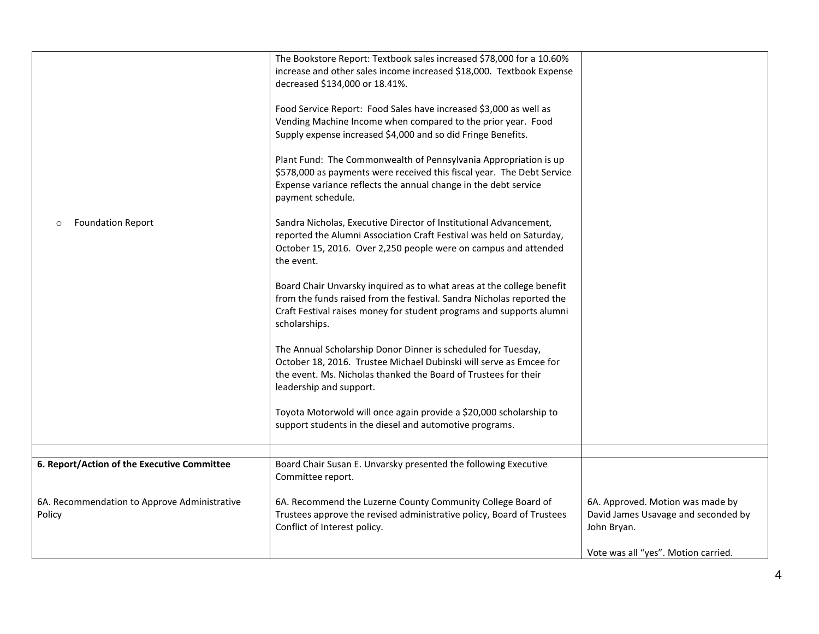| <b>Foundation Report</b><br>$\circ$                    | The Bookstore Report: Textbook sales increased \$78,000 for a 10.60%<br>increase and other sales income increased \$18,000. Textbook Expense<br>decreased \$134,000 or 18.41%.<br>Food Service Report: Food Sales have increased \$3,000 as well as<br>Vending Machine Income when compared to the prior year. Food<br>Supply expense increased \$4,000 and so did Fringe Benefits.<br>Plant Fund: The Commonwealth of Pennsylvania Appropriation is up<br>\$578,000 as payments were received this fiscal year. The Debt Service<br>Expense variance reflects the annual change in the debt service<br>payment schedule.<br>Sandra Nicholas, Executive Director of Institutional Advancement,<br>reported the Alumni Association Craft Festival was held on Saturday,<br>October 15, 2016. Over 2,250 people were on campus and attended<br>the event.<br>Board Chair Unvarsky inquired as to what areas at the college benefit<br>from the funds raised from the festival. Sandra Nicholas reported the<br>Craft Festival raises money for student programs and supports alumni<br>scholarships.<br>The Annual Scholarship Donor Dinner is scheduled for Tuesday,<br>October 18, 2016. Trustee Michael Dubinski will serve as Emcee for<br>the event. Ms. Nicholas thanked the Board of Trustees for their<br>leadership and support.<br>Toyota Motorwold will once again provide a \$20,000 scholarship to<br>support students in the diesel and automotive programs. |                                                                                        |
|--------------------------------------------------------|--------------------------------------------------------------------------------------------------------------------------------------------------------------------------------------------------------------------------------------------------------------------------------------------------------------------------------------------------------------------------------------------------------------------------------------------------------------------------------------------------------------------------------------------------------------------------------------------------------------------------------------------------------------------------------------------------------------------------------------------------------------------------------------------------------------------------------------------------------------------------------------------------------------------------------------------------------------------------------------------------------------------------------------------------------------------------------------------------------------------------------------------------------------------------------------------------------------------------------------------------------------------------------------------------------------------------------------------------------------------------------------------------------------------------------------------------------------------------|----------------------------------------------------------------------------------------|
| 6. Report/Action of the Executive Committee            | Board Chair Susan E. Unvarsky presented the following Executive                                                                                                                                                                                                                                                                                                                                                                                                                                                                                                                                                                                                                                                                                                                                                                                                                                                                                                                                                                                                                                                                                                                                                                                                                                                                                                                                                                                                          |                                                                                        |
|                                                        | Committee report.                                                                                                                                                                                                                                                                                                                                                                                                                                                                                                                                                                                                                                                                                                                                                                                                                                                                                                                                                                                                                                                                                                                                                                                                                                                                                                                                                                                                                                                        |                                                                                        |
| 6A. Recommendation to Approve Administrative<br>Policy | 6A. Recommend the Luzerne County Community College Board of<br>Trustees approve the revised administrative policy, Board of Trustees<br>Conflict of Interest policy.                                                                                                                                                                                                                                                                                                                                                                                                                                                                                                                                                                                                                                                                                                                                                                                                                                                                                                                                                                                                                                                                                                                                                                                                                                                                                                     | 6A. Approved. Motion was made by<br>David James Usavage and seconded by<br>John Bryan. |
|                                                        |                                                                                                                                                                                                                                                                                                                                                                                                                                                                                                                                                                                                                                                                                                                                                                                                                                                                                                                                                                                                                                                                                                                                                                                                                                                                                                                                                                                                                                                                          | Vote was all "yes". Motion carried.                                                    |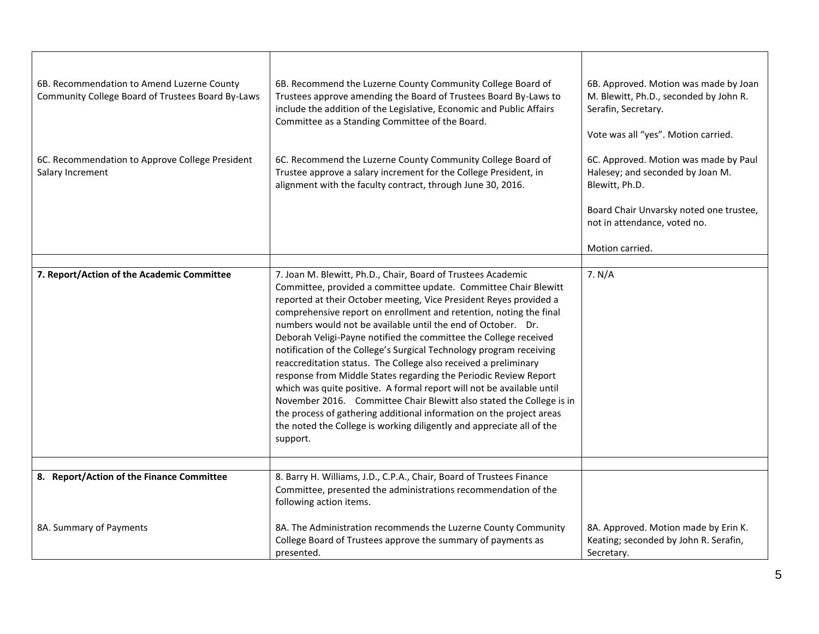| 6B. Recommendation to Amend Luzerne County<br>Community College Board of Trustees Board By-Laws | 6B. Recommend the Luzerne County Community College Board of<br>Trustees approve amending the Board of Trustees Board By-Laws to<br>include the addition of the Legislative, Economic and Public Affairs<br>Committee as a Standing Committee of the Board.                                                                                                                                                                                                                                                                                                                                                                                                                                                                                                                                                                                                                                                                                  | 6B. Approved. Motion was made by Joan<br>M. Blewitt, Ph.D., seconded by John R.<br>Serafin, Secretary.<br>Vote was all "yes". Motion carried.                                             |
|-------------------------------------------------------------------------------------------------|---------------------------------------------------------------------------------------------------------------------------------------------------------------------------------------------------------------------------------------------------------------------------------------------------------------------------------------------------------------------------------------------------------------------------------------------------------------------------------------------------------------------------------------------------------------------------------------------------------------------------------------------------------------------------------------------------------------------------------------------------------------------------------------------------------------------------------------------------------------------------------------------------------------------------------------------|-------------------------------------------------------------------------------------------------------------------------------------------------------------------------------------------|
| 6C. Recommendation to Approve College President<br>Salary Increment                             | 6C. Recommend the Luzerne County Community College Board of<br>Trustee approve a salary increment for the College President, in<br>alignment with the faculty contract, through June 30, 2016.                                                                                                                                                                                                                                                                                                                                                                                                                                                                                                                                                                                                                                                                                                                                              | 6C. Approved. Motion was made by Paul<br>Halesey; and seconded by Joan M.<br>Blewitt, Ph.D.<br>Board Chair Unvarsky noted one trustee,<br>not in attendance, voted no.<br>Motion carried. |
|                                                                                                 |                                                                                                                                                                                                                                                                                                                                                                                                                                                                                                                                                                                                                                                                                                                                                                                                                                                                                                                                             |                                                                                                                                                                                           |
| 7. Report/Action of the Academic Committee                                                      | 7. Joan M. Blewitt, Ph.D., Chair, Board of Trustees Academic<br>Committee, provided a committee update. Committee Chair Blewitt<br>reported at their October meeting, Vice President Reyes provided a<br>comprehensive report on enrollment and retention, noting the final<br>numbers would not be available until the end of October. Dr.<br>Deborah Veligi-Payne notified the committee the College received<br>notification of the College's Surgical Technology program receiving<br>reaccreditation status. The College also received a preliminary<br>response from Middle States regarding the Periodic Review Report<br>which was quite positive. A formal report will not be available until<br>November 2016. Committee Chair Blewitt also stated the College is in<br>the process of gathering additional information on the project areas<br>the noted the College is working diligently and appreciate all of the<br>support. | 7. N/A                                                                                                                                                                                    |
| 8. Report/Action of the Finance Committee                                                       | 8. Barry H. Williams, J.D., C.P.A., Chair, Board of Trustees Finance                                                                                                                                                                                                                                                                                                                                                                                                                                                                                                                                                                                                                                                                                                                                                                                                                                                                        |                                                                                                                                                                                           |
|                                                                                                 | Committee, presented the administrations recommendation of the<br>following action items.                                                                                                                                                                                                                                                                                                                                                                                                                                                                                                                                                                                                                                                                                                                                                                                                                                                   |                                                                                                                                                                                           |
| 8A. Summary of Payments                                                                         | 8A. The Administration recommends the Luzerne County Community<br>College Board of Trustees approve the summary of payments as<br>presented.                                                                                                                                                                                                                                                                                                                                                                                                                                                                                                                                                                                                                                                                                                                                                                                                | 8A. Approved. Motion made by Erin K.<br>Keating; seconded by John R. Serafin,<br>Secretary.                                                                                               |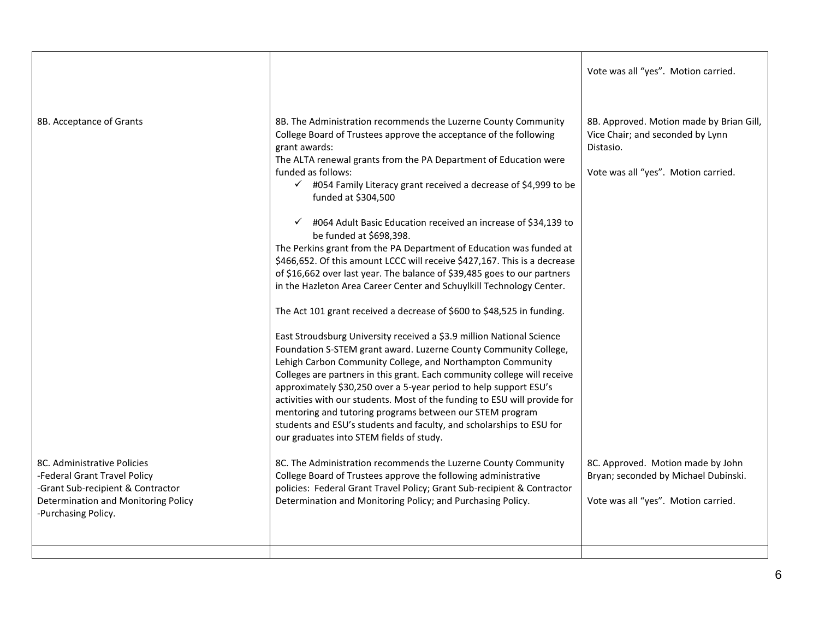|                                                                                                                                                                |                                                                                                                                                                                                                                                                                                                                                                                                                                                                                                                                                                                                                                                                                                                                                                                                                                                                                                                                                                                                                                                                                                                                                                                                                                                                                                                                                                                                                   | Vote was all "yes". Motion carried.                                                                                              |
|----------------------------------------------------------------------------------------------------------------------------------------------------------------|-------------------------------------------------------------------------------------------------------------------------------------------------------------------------------------------------------------------------------------------------------------------------------------------------------------------------------------------------------------------------------------------------------------------------------------------------------------------------------------------------------------------------------------------------------------------------------------------------------------------------------------------------------------------------------------------------------------------------------------------------------------------------------------------------------------------------------------------------------------------------------------------------------------------------------------------------------------------------------------------------------------------------------------------------------------------------------------------------------------------------------------------------------------------------------------------------------------------------------------------------------------------------------------------------------------------------------------------------------------------------------------------------------------------|----------------------------------------------------------------------------------------------------------------------------------|
| 8B. Acceptance of Grants                                                                                                                                       | 8B. The Administration recommends the Luzerne County Community<br>College Board of Trustees approve the acceptance of the following<br>grant awards:<br>The ALTA renewal grants from the PA Department of Education were<br>funded as follows:<br>$\checkmark$ #054 Family Literacy grant received a decrease of \$4,999 to be<br>funded at \$304,500<br>#064 Adult Basic Education received an increase of \$34,139 to<br>be funded at \$698,398.<br>The Perkins grant from the PA Department of Education was funded at<br>\$466,652. Of this amount LCCC will receive \$427,167. This is a decrease<br>of \$16,662 over last year. The balance of \$39,485 goes to our partners<br>in the Hazleton Area Career Center and Schuylkill Technology Center.<br>The Act 101 grant received a decrease of \$600 to \$48,525 in funding.<br>East Stroudsburg University received a \$3.9 million National Science<br>Foundation S-STEM grant award. Luzerne County Community College,<br>Lehigh Carbon Community College, and Northampton Community<br>Colleges are partners in this grant. Each community college will receive<br>approximately \$30,250 over a 5-year period to help support ESU's<br>activities with our students. Most of the funding to ESU will provide for<br>mentoring and tutoring programs between our STEM program<br>students and ESU's students and faculty, and scholarships to ESU for | 8B. Approved. Motion made by Brian Gill,<br>Vice Chair; and seconded by Lynn<br>Distasio.<br>Vote was all "yes". Motion carried. |
| 8C. Administrative Policies<br>-Federal Grant Travel Policy<br>-Grant Sub-recipient & Contractor<br>Determination and Monitoring Policy<br>-Purchasing Policy. | our graduates into STEM fields of study.<br>8C. The Administration recommends the Luzerne County Community<br>College Board of Trustees approve the following administrative<br>policies: Federal Grant Travel Policy; Grant Sub-recipient & Contractor<br>Determination and Monitoring Policy; and Purchasing Policy.                                                                                                                                                                                                                                                                                                                                                                                                                                                                                                                                                                                                                                                                                                                                                                                                                                                                                                                                                                                                                                                                                            | 8C. Approved. Motion made by John<br>Bryan; seconded by Michael Dubinski.<br>Vote was all "yes". Motion carried.                 |